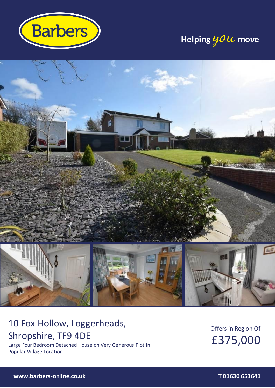

# **Helping you move**



# 10 Fox Hollow, Loggerheads, Shropshire, TF9 4DE

Large Four Bedroom Detached House on Very Generous Plot in Popular Village Location

Offers in Region Of £375,000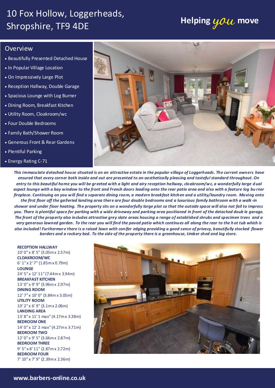# 10 Fox Hollow, Loggerheads, Shropshire, TF9 4DE **Helping you move**

## Overview

- Beautifully Presented Detached House
- In Popular Village Location
- On Impressively Large Plot
- Reception Hallway, Double Garage
- Spacious Lounge with Log Burner
- Dining Room, Breakfast Kitchen
- Utility Room, Cloakroom/wc
- Four Double Bedrooms
- Family Bath/Shower Room
- Generous Front & Rear Gardens
- Plentiful Parking
- Energy Rating C-71



*This immaculate detached house situated is on an attractive estate in the popular village of Loggerheads. The current owners have ensured that every corner both inside and out are presented to an aesthetically pleasing and tasteful standard throughout. On entry to this beautiful home you will be greeted with a light and airy reception hallway, cloakroom/wc, a wonderfully large d ual aspect lounge with a bay window to the front and French doors leading onto the rear patio area and also with a feature log bu rner fireplace. Continuing on you will find a separate dining room, a modern breakfast kitchen and a utility/laundry room. Moving onto the first floor off the galleried landing area there are four double bedrooms and a luxurious family bathroom with a walk -in shower and under floor heating. The property sits on a wonderfully large plot so that the outside space will also not fail to impress you. There is plentiful space for parking with a wide driveway and parking area positioned in front of the detached doub le garage. The front of the property also includes attractive grey slate areas housing a range of established shrubs and specimen trees and a very generous lawned garden. To the rear you will find the paved patio which continues all along the rear to the h ot tub which is also included! Furthermore there is a raised lawn with conifer edging providing a good sense of privacy, beautifully stocked flower borders and a rockery bed. To the side of the property there is a greenhouse, timber shed and log store.*

**RECEPTION HALLWAY**  10' 0" x 8' 5" (3.05m x 2.57m) **CLOAKROOM/WC**  6' 1" x 2' 7" (1.85m x 0.79m) **LOUNGE** 24' 5" x 12' 11" (7.44m x 3.94m) **BREAKFAST KITCHEN**  13' 0" x 9' 9" (3.96m x 2.97m) **DINING ROOM**  12' 7" x 10' 0" (3.84m x 3.05m) **UTILITY ROOM**  10' 2" x 6' 9" (3.1m x 2.06m) **LANDING AREA** 13' 8" x 11' 1 max" (4.17m x 3.38m) **BEDROOM ONE**  14' 0" x 12' 2 max" (4.27m x 3.71m) **BEDROOM TWO**  12' 0" x 9' 5" (3.66m x 2.87m) **BEDROOM THREE** 9' 5" x 8' 11" (2.87m x 2.72m) **BEDROOM FOUR**  7' 10" x 7' 9" (2.39m x 2.36m)

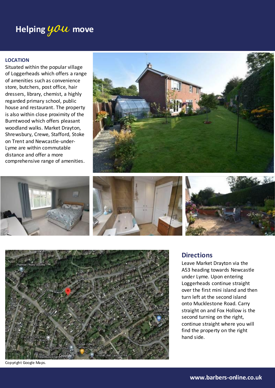# **Helping you move**

### **LOCATION**

Situated within the popular village of Loggerheads which offers a range of amenities such as convenience store, butchers, post office, hair dressers, library, chemist, a highly regarded primary school, public house and restaurant. The property is also within close proximity of the Burntwood which offers pleasant woodland walks. Market Drayton, Shrewsbury, Crewe, Stafford, Stoke on Trent and Newcastle-under-Lyme are within commutable distance and offer a more comprehensive range of amenities.











Copyright Google Maps.

## **Directions**

Leave Market Drayton via the A53 heading towards Newcastle under Lyme. Upon entering Loggerheads continue straight over the first mini island and then turn left at the second island onto Mucklestone Road. Carry straight on and Fox Hollow is the second turning on the right, continue straight where you will find the property on the right hand side.